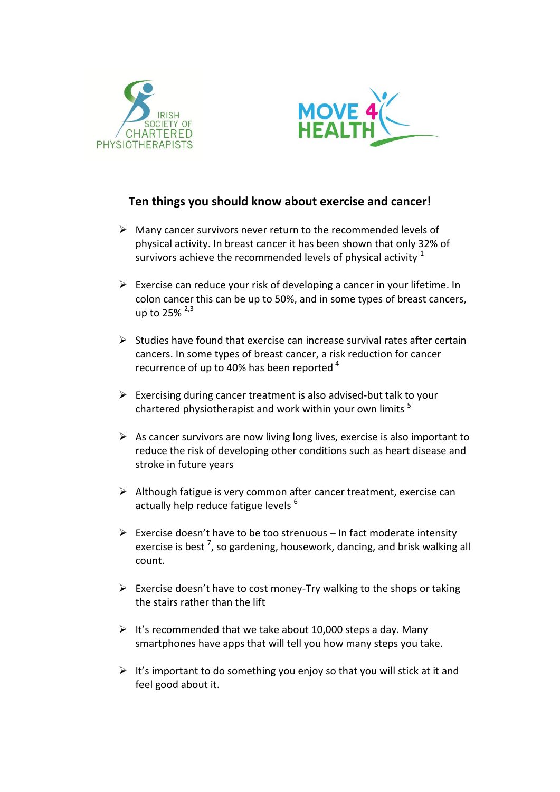



## **Ten things you should know about exercise and cancer!**

- $\triangleright$  Many cancer survivors never return to the recommended levels of physical activity. In breast cancer it has been shown that only 32% of survivors achieve the recommended levels of physical activity  $1$
- $\triangleright$  Exercise can reduce your risk of developing a cancer in your lifetime. In colon cancer this can be up to 50%, and in some types of breast cancers, up to  $25\%$   $2.3$
- $\triangleright$  Studies have found that exercise can increase survival rates after certain cancers. In some types of breast cancer, a risk reduction for cancer recurrence of up to 40% has been reported<sup>4</sup>
- $\triangleright$  Exercising during cancer treatment is also advised-but talk to your chartered physiotherapist and work within your own limits  $5$
- $\triangleright$  As cancer survivors are now living long lives, exercise is also important to reduce the risk of developing other conditions such as heart disease and stroke in future years
- $\triangleright$  Although fatigue is very common after cancer treatment, exercise can actually help reduce fatigue levels <sup>6</sup>
- $\triangleright$  Exercise doesn't have to be too strenuous In fact moderate intensity exercise is best <sup>7</sup>, so gardening, housework, dancing, and brisk walking all count.
- $\triangleright$  Exercise doesn't have to cost money-Try walking to the shops or taking the stairs rather than the lift
- $\triangleright$  It's recommended that we take about 10,000 steps a day. Many smartphones have apps that will tell you how many steps you take.
- $\triangleright$  It's important to do something you enjoy so that you will stick at it and feel good about it.